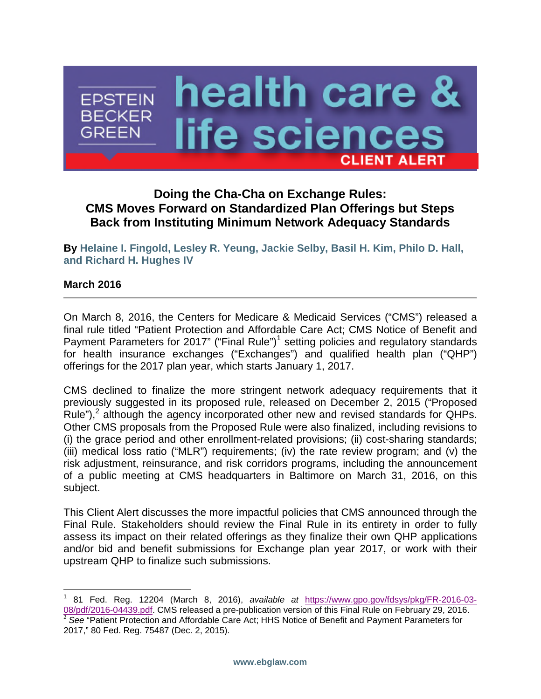

### **Doing the Cha-Cha on Exchange Rules: CMS Moves Forward on Standardized Plan Offerings but Steps Back from Instituting Minimum Network Adequacy Standards**

**By [Helaine I. Fingold](http://www.ebglaw.com/helaine-i-fingold/), [Lesley R. Yeung](http://www.ebglaw.com/lesley-r-yeung/), [Jackie Selby](http://www.ebglaw.com/jackie-selby/), [Basil H. Kim,](http://www.ebglaw.com/basil-h-kim/) [Philo D. Hall,](http://www.ebglaw.com/philo-d-hall/) and [Richard H. Hughes IV](http://www.ebglaw.com/richard-h-hughes-iv/)**

#### **March 2016**

On March 8, 2016, the Centers for Medicare & Medicaid Services ("CMS") released a final rule titled "Patient Protection and Affordable Care Act; CMS Notice of Benefit and Payment Parameters for 20[1](#page-0-0)7" ("Final Rule")<sup>1</sup> setting policies and regulatory standards for health insurance exchanges ("Exchanges") and qualified health plan ("QHP") offerings for the 2017 plan year, which starts January 1, 2017.

CMS declined to finalize the more stringent network adequacy requirements that it previously suggested in its proposed rule, released on December 2, 2015 ("Proposed Rule"),<sup>[2](#page-0-1)</sup> although the agency incorporated other new and revised standards for QHPs. Other CMS proposals from the Proposed Rule were also finalized, including revisions to (i) the grace period and other enrollment-related provisions; (ii) cost-sharing standards; (iii) medical loss ratio ("MLR") requirements; (iv) the rate review program; and (v) the risk adjustment, reinsurance, and risk corridors programs, including the announcement of a public meeting at CMS headquarters in Baltimore on March 31, 2016, on this subject.

This Client Alert discusses the more impactful policies that CMS announced through the Final Rule. Stakeholders should review the Final Rule in its entirety in order to fully assess its impact on their related offerings as they finalize their own QHP applications and/or bid and benefit submissions for Exchange plan year 2017, or work with their upstream QHP to finalize such submissions.

<span id="page-0-1"></span><span id="page-0-0"></span><sup>1</sup> 81 Fed. Reg. 12204 (March 8, 2016), *available at* https://www.gpo.gov/fdsys/pkg/FR-2016-03- 08/pdf/2016-04439.pdf. CMS released a pre-publication version of this Final Rule on February 29, 2016. <sup>2</sup> See "Patient Protection and Affordable Care Act; HHS Notice of Benefit and Payment Parameters for 2017," 80 Fed. Reg. 75487 (Dec. 2, 2015).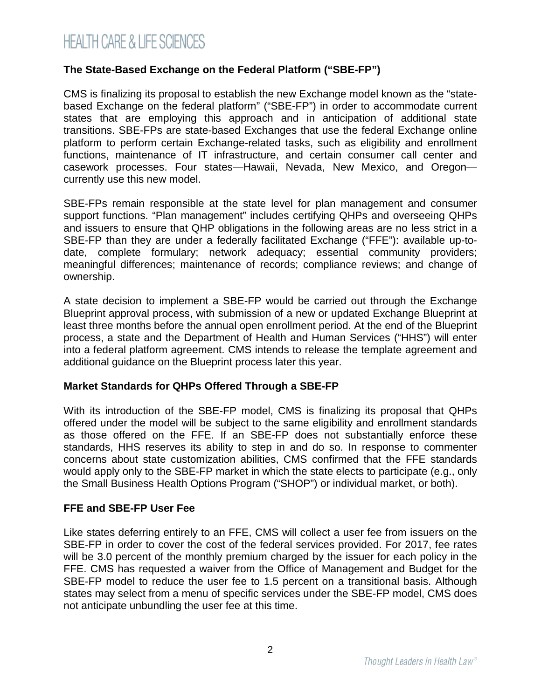### **The State-Based Exchange on the Federal Platform ("SBE-FP")**

CMS is finalizing its proposal to establish the new Exchange model known as the "statebased Exchange on the federal platform" ("SBE-FP") in order to accommodate current states that are employing this approach and in anticipation of additional state transitions. SBE-FPs are state-based Exchanges that use the federal Exchange online platform to perform certain Exchange-related tasks, such as eligibility and enrollment functions, maintenance of IT infrastructure, and certain consumer call center and casework processes. Four states—Hawaii, Nevada, New Mexico, and Oregon currently use this new model.

SBE-FPs remain responsible at the state level for plan management and consumer support functions. "Plan management" includes certifying QHPs and overseeing QHPs and issuers to ensure that QHP obligations in the following areas are no less strict in a SBE-FP than they are under a federally facilitated Exchange ("FFE"): available up-todate, complete formulary; network adequacy; essential community providers; meaningful differences; maintenance of records; compliance reviews; and change of ownership.

A state decision to implement a SBE-FP would be carried out through the Exchange Blueprint approval process, with submission of a new or updated Exchange Blueprint at least three months before the annual open enrollment period. At the end of the Blueprint process, a state and the Department of Health and Human Services ("HHS") will enter into a federal platform agreement. CMS intends to release the template agreement and additional guidance on the Blueprint process later this year.

#### **Market Standards for QHPs Offered Through a SBE-FP**

With its introduction of the SBE-FP model, CMS is finalizing its proposal that QHPs offered under the model will be subject to the same eligibility and enrollment standards as those offered on the FFE. If an SBE-FP does not substantially enforce these standards, HHS reserves its ability to step in and do so. In response to commenter concerns about state customization abilities, CMS confirmed that the FFE standards would apply only to the SBE-FP market in which the state elects to participate (e.g., only the Small Business Health Options Program ("SHOP") or individual market, or both).

#### **FFE and SBE-FP User Fee**

Like states deferring entirely to an FFE, CMS will collect a user fee from issuers on the SBE-FP in order to cover the cost of the federal services provided. For 2017, fee rates will be 3.0 percent of the monthly premium charged by the issuer for each policy in the FFE. CMS has requested a waiver from the Office of Management and Budget for the SBE-FP model to reduce the user fee to 1.5 percent on a transitional basis. Although states may select from a menu of specific services under the SBE-FP model, CMS does not anticipate unbundling the user fee at this time.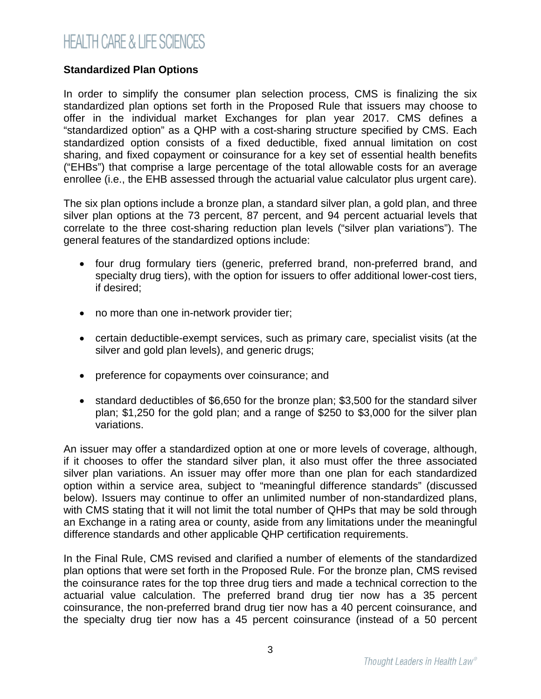### **Standardized Plan Options**

In order to simplify the consumer plan selection process, CMS is finalizing the six standardized plan options set forth in the Proposed Rule that issuers may choose to offer in the individual market Exchanges for plan year 2017. CMS defines a "standardized option" as a QHP with a cost-sharing structure specified by CMS. Each standardized option consists of a fixed deductible, fixed annual limitation on cost sharing, and fixed copayment or coinsurance for a key set of essential health benefits ("EHBs") that comprise a large percentage of the total allowable costs for an average enrollee (i.e., the EHB assessed through the actuarial value calculator plus urgent care).

The six plan options include a bronze plan, a standard silver plan, a gold plan, and three silver plan options at the 73 percent, 87 percent, and 94 percent actuarial levels that correlate to the three cost-sharing reduction plan levels ("silver plan variations"). The general features of the standardized options include:

- four drug formulary tiers (generic, preferred brand, non-preferred brand, and specialty drug tiers), with the option for issuers to offer additional lower-cost tiers, if desired;
- no more than one in-network provider tier;
- certain deductible-exempt services, such as primary care, specialist visits (at the silver and gold plan levels), and generic drugs;
- preference for copayments over coinsurance; and
- standard deductibles of \$6,650 for the bronze plan; \$3,500 for the standard silver plan; \$1,250 for the gold plan; and a range of \$250 to \$3,000 for the silver plan variations.

An issuer may offer a standardized option at one or more levels of coverage, although, if it chooses to offer the standard silver plan, it also must offer the three associated silver plan variations. An issuer may offer more than one plan for each standardized option within a service area, subject to "meaningful difference standards" (discussed below). Issuers may continue to offer an unlimited number of non-standardized plans, with CMS stating that it will not limit the total number of QHPs that may be sold through an Exchange in a rating area or county, aside from any limitations under the meaningful difference standards and other applicable QHP certification requirements.

In the Final Rule, CMS revised and clarified a number of elements of the standardized plan options that were set forth in the Proposed Rule. For the bronze plan, CMS revised the coinsurance rates for the top three drug tiers and made a technical correction to the actuarial value calculation. The preferred brand drug tier now has a 35 percent coinsurance, the non-preferred brand drug tier now has a 40 percent coinsurance, and the specialty drug tier now has a 45 percent coinsurance (instead of a 50 percent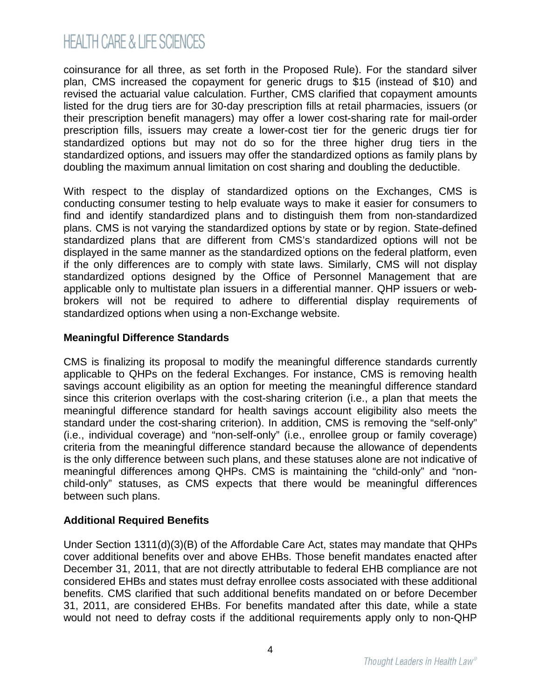coinsurance for all three, as set forth in the Proposed Rule). For the standard silver plan, CMS increased the copayment for generic drugs to \$15 (instead of \$10) and revised the actuarial value calculation. Further, CMS clarified that copayment amounts listed for the drug tiers are for 30-day prescription fills at retail pharmacies, issuers (or their prescription benefit managers) may offer a lower cost-sharing rate for mail-order prescription fills, issuers may create a lower-cost tier for the generic drugs tier for standardized options but may not do so for the three higher drug tiers in the standardized options, and issuers may offer the standardized options as family plans by doubling the maximum annual limitation on cost sharing and doubling the deductible.

With respect to the display of standardized options on the Exchanges, CMS is conducting consumer testing to help evaluate ways to make it easier for consumers to find and identify standardized plans and to distinguish them from non-standardized plans. CMS is not varying the standardized options by state or by region. State-defined standardized plans that are different from CMS's standardized options will not be displayed in the same manner as the standardized options on the federal platform, even if the only differences are to comply with state laws. Similarly, CMS will not display standardized options designed by the Office of Personnel Management that are applicable only to multistate plan issuers in a differential manner. QHP issuers or webbrokers will not be required to adhere to differential display requirements of standardized options when using a non-Exchange website.

### **Meaningful Difference Standards**

CMS is finalizing its proposal to modify the meaningful difference standards currently applicable to QHPs on the federal Exchanges. For instance, CMS is removing health savings account eligibility as an option for meeting the meaningful difference standard since this criterion overlaps with the cost-sharing criterion (i.e., a plan that meets the meaningful difference standard for health savings account eligibility also meets the standard under the cost-sharing criterion). In addition, CMS is removing the "self-only" (i.e., individual coverage) and "non-self-only" (i.e., enrollee group or family coverage) criteria from the meaningful difference standard because the allowance of dependents is the only difference between such plans, and these statuses alone are not indicative of meaningful differences among QHPs. CMS is maintaining the "child-only" and "nonchild-only" statuses, as CMS expects that there would be meaningful differences between such plans.

### **Additional Required Benefits**

Under Section 1311(d)(3)(B) of the Affordable Care Act, states may mandate that QHPs cover additional benefits over and above EHBs. Those benefit mandates enacted after December 31, 2011, that are not directly attributable to federal EHB compliance are not considered EHBs and states must defray enrollee costs associated with these additional benefits. CMS clarified that such additional benefits mandated on or before December 31, 2011, are considered EHBs. For benefits mandated after this date, while a state would not need to defray costs if the additional requirements apply only to non-QHP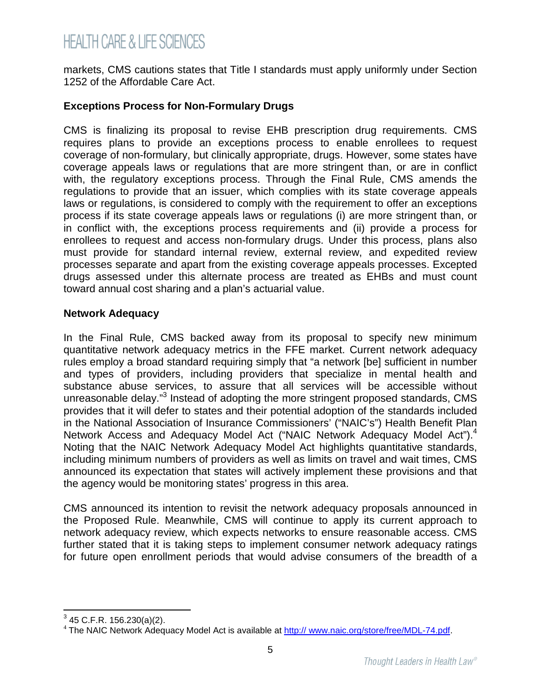markets, CMS cautions states that Title I standards must apply uniformly under Section 1252 of the Affordable Care Act.

#### **Exceptions Process for Non-Formulary Drugs**

CMS is finalizing its proposal to revise EHB prescription drug requirements. CMS requires plans to provide an exceptions process to enable enrollees to request coverage of non-formulary, but clinically appropriate, drugs. However, some states have coverage appeals laws or regulations that are more stringent than, or are in conflict with, the regulatory exceptions process. Through the Final Rule, CMS amends the regulations to provide that an issuer, which complies with its state coverage appeals laws or regulations, is considered to comply with the requirement to offer an exceptions process if its state coverage appeals laws or regulations (i) are more stringent than, or in conflict with, the exceptions process requirements and (ii) provide a process for enrollees to request and access non-formulary drugs. Under this process, plans also must provide for standard internal review, external review, and expedited review processes separate and apart from the existing coverage appeals processes. Excepted drugs assessed under this alternate process are treated as EHBs and must count toward annual cost sharing and a plan's actuarial value.

#### **Network Adequacy**

In the Final Rule, CMS backed away from its proposal to specify new minimum quantitative network adequacy metrics in the FFE market. Current network adequacy rules employ a broad standard requiring simply that "a network [be] sufficient in number and types of providers, including providers that specialize in mental health and substance abuse services, to assure that all services will be accessible without unreasonable delay."<sup>[3](#page-4-0)</sup> Instead of adopting the more stringent proposed standards, CMS provides that it will defer to states and their potential adoption of the standards included in the National Association of Insurance Commissioners' ("NAIC's") Health Benefit Plan NetworkAccess and Adequacy Model Act ("NAIC Network Adequacy Model Act").<sup>4</sup> Noting that the NAIC Network Adequacy Model Act highlights quantitative standards, including minimum numbers of providers as well as limits on travel and wait times, CMS announced its expectation that states will actively implement these provisions and that the agency would be monitoring states' progress in this area.

CMS announced its intention to revisit the network adequacy proposals announced in the Proposed Rule. Meanwhile, CMS will continue to apply its current approach to network adequacy review, which expects networks to ensure reasonable access. CMS further stated that it is taking steps to implement consumer network adequacy ratings for future open enrollment periods that would advise consumers of the breadth of a

<span id="page-4-0"></span> $3$  45 C.F.R. 156.230(a)(2).

<span id="page-4-1"></span><sup>&</sup>lt;sup>4</sup> The NAIC Network Adequacy Model Act is available at http:// www.naic.org/store/free/MDL-74.pdf.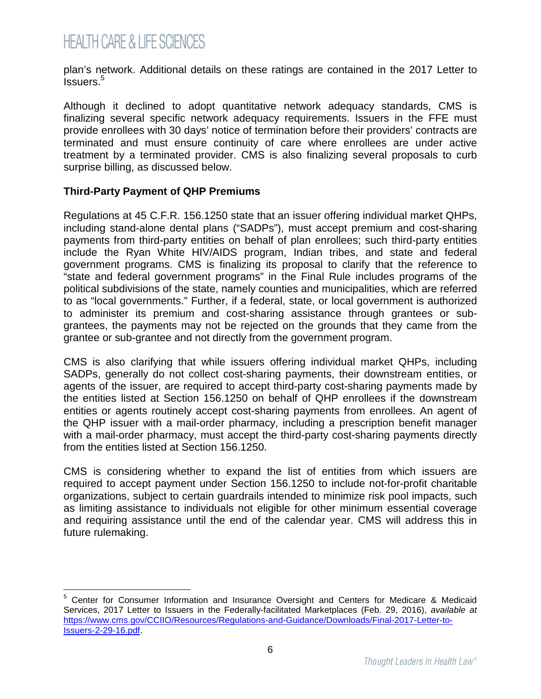plan's network. Additional details on these ratings are contained in the 2017 Letter to lssuers.<sup>[5](#page-5-0)</sup>

Although it declined to adopt quantitative network adequacy standards, CMS is finalizing several specific network adequacy requirements. Issuers in the FFE must provide enrollees with 30 days' notice of termination before their providers' contracts are terminated and must ensure continuity of care where enrollees are under active treatment by a terminated provider. CMS is also finalizing several proposals to curb surprise billing, as discussed below.

### **Third-Party Payment of QHP Premiums**

Regulations at 45 C.F.R. 156.1250 state that an issuer offering individual market QHPs, including stand-alone dental plans ("SADPs"), must accept premium and cost-sharing payments from third-party entities on behalf of plan enrollees; such third-party entities include the Ryan White HIV/AIDS program, Indian tribes, and state and federal government programs. CMS is finalizing its proposal to clarify that the reference to "state and federal government programs" in the Final Rule includes programs of the political subdivisions of the state, namely counties and municipalities, which are referred to as "local governments." Further, if a federal, state, or local government is authorized to administer its premium and cost-sharing assistance through grantees or subgrantees, the payments may not be rejected on the grounds that they came from the grantee or sub-grantee and not directly from the government program.

CMS is also clarifying that while issuers offering individual market QHPs, including SADPs, generally do not collect cost-sharing payments, their downstream entities, or agents of the issuer, are required to accept third-party cost-sharing payments made by the entities listed at Section 156.1250 on behalf of QHP enrollees if the downstream entities or agents routinely accept cost-sharing payments from enrollees. An agent of the QHP issuer with a mail-order pharmacy, including a prescription benefit manager with a mail-order pharmacy, must accept the third-party cost-sharing payments directly from the entities listed at Section 156.1250.

CMS is considering whether to expand the list of entities from which issuers are required to accept payment under Section 156.1250 to include not-for-profit charitable organizations, subject to certain guardrails intended to minimize risk pool impacts, such as limiting assistance to individuals not eligible for other minimum essential coverage and requiring assistance until the end of the calendar year. CMS will address this in future rulemaking.

<span id="page-5-0"></span><sup>&</sup>lt;sup>5</sup> Center for Consumer Information and Insurance Oversight and Centers for Medicare & Medicaid Services, 2017 Letter to Issuers in the Federally-facilitated Marketplaces (Feb. 29, 2016), *available at* https://www.cms.gov/CCIIO/Resources/Regulations-and-Guidance/Downloads/Final-2017-Letter-to-Issuers-2-29-16.pdf.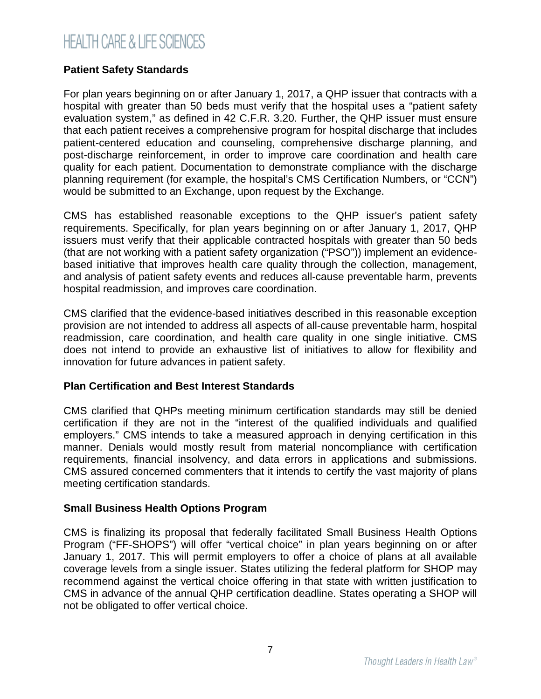### **Patient Safety Standards**

For plan years beginning on or after January 1, 2017, a QHP issuer that contracts with a hospital with greater than 50 beds must verify that the hospital uses a "patient safety evaluation system," as defined in 42 C.F.R. 3.20. Further, the QHP issuer must ensure that each patient receives a comprehensive program for hospital discharge that includes patient-centered education and counseling, comprehensive discharge planning, and post-discharge reinforcement, in order to improve care coordination and health care quality for each patient. Documentation to demonstrate compliance with the discharge planning requirement (for example, the hospital's CMS Certification Numbers, or "CCN") would be submitted to an Exchange, upon request by the Exchange.

CMS has established reasonable exceptions to the QHP issuer's patient safety requirements. Specifically, for plan years beginning on or after January 1, 2017, QHP issuers must verify that their applicable contracted hospitals with greater than 50 beds (that are not working with a patient safety organization ("PSO")) implement an evidencebased initiative that improves health care quality through the collection, management, and analysis of patient safety events and reduces all-cause preventable harm, prevents hospital readmission, and improves care coordination.

CMS clarified that the evidence-based initiatives described in this reasonable exception provision are not intended to address all aspects of all-cause preventable harm, hospital readmission, care coordination, and health care quality in one single initiative. CMS does not intend to provide an exhaustive list of initiatives to allow for flexibility and innovation for future advances in patient safety.

### **Plan Certification and Best Interest Standards**

CMS clarified that QHPs meeting minimum certification standards may still be denied certification if they are not in the "interest of the qualified individuals and qualified employers." CMS intends to take a measured approach in denying certification in this manner. Denials would mostly result from material noncompliance with certification requirements, financial insolvency, and data errors in applications and submissions. CMS assured concerned commenters that it intends to certify the vast majority of plans meeting certification standards.

### **Small Business Health Options Program**

CMS is finalizing its proposal that federally facilitated Small Business Health Options Program ("FF-SHOPS") will offer "vertical choice" in plan years beginning on or after January 1, 2017. This will permit employers to offer a choice of plans at all available coverage levels from a single issuer. States utilizing the federal platform for SHOP may recommend against the vertical choice offering in that state with written justification to CMS in advance of the annual QHP certification deadline. States operating a SHOP will not be obligated to offer vertical choice.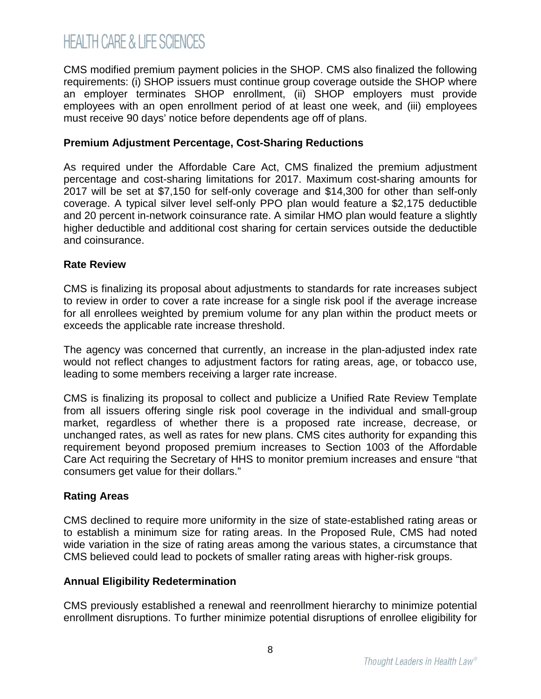CMS modified premium payment policies in the SHOP. CMS also finalized the following requirements: (i) SHOP issuers must continue group coverage outside the SHOP where an employer terminates SHOP enrollment, (ii) SHOP employers must provide employees with an open enrollment period of at least one week, and (iii) employees must receive 90 days' notice before dependents age off of plans.

#### **Premium Adjustment Percentage, Cost-Sharing Reductions**

As required under the Affordable Care Act, CMS finalized the premium adjustment percentage and cost-sharing limitations for 2017. Maximum cost-sharing amounts for 2017 will be set at \$7,150 for self-only coverage and \$14,300 for other than self-only coverage. A typical silver level self-only PPO plan would feature a \$2,175 deductible and 20 percent in-network coinsurance rate. A similar HMO plan would feature a slightly higher deductible and additional cost sharing for certain services outside the deductible and coinsurance.

### **Rate Review**

CMS is finalizing its proposal about adjustments to standards for rate increases subject to review in order to cover a rate increase for a single risk pool if the average increase for all enrollees weighted by premium volume for any plan within the product meets or exceeds the applicable rate increase threshold.

The agency was concerned that currently, an increase in the plan-adjusted index rate would not reflect changes to adjustment factors for rating areas, age, or tobacco use, leading to some members receiving a larger rate increase.

CMS is finalizing its proposal to collect and publicize a Unified Rate Review Template from all issuers offering single risk pool coverage in the individual and small-group market, regardless of whether there is a proposed rate increase, decrease, or unchanged rates, as well as rates for new plans. CMS cites authority for expanding this requirement beyond proposed premium increases to Section 1003 of the Affordable Care Act requiring the Secretary of HHS to monitor premium increases and ensure "that consumers get value for their dollars."

### **Rating Areas**

CMS declined to require more uniformity in the size of state-established rating areas or to establish a minimum size for rating areas. In the Proposed Rule, CMS had noted wide variation in the size of rating areas among the various states, a circumstance that CMS believed could lead to pockets of smaller rating areas with higher-risk groups.

### **Annual Eligibility Redetermination**

CMS previously established a renewal and reenrollment hierarchy to minimize potential enrollment disruptions. To further minimize potential disruptions of enrollee eligibility for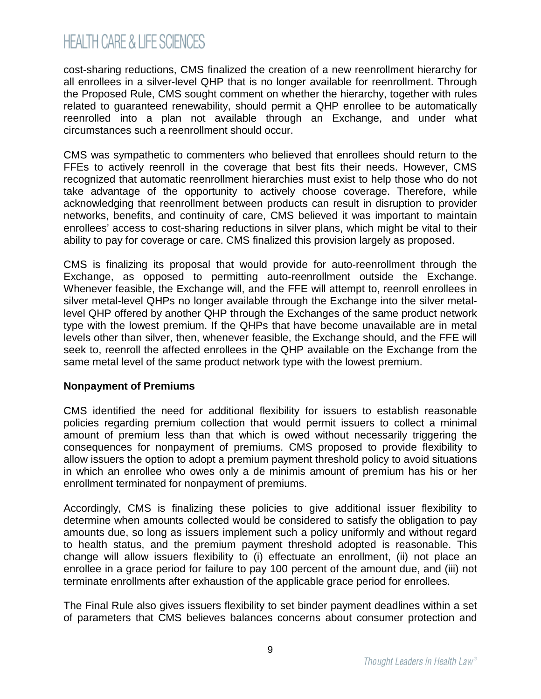cost-sharing reductions, CMS finalized the creation of a new reenrollment hierarchy for all enrollees in a silver-level QHP that is no longer available for reenrollment. Through the Proposed Rule, CMS sought comment on whether the hierarchy, together with rules related to guaranteed renewability, should permit a QHP enrollee to be automatically reenrolled into a plan not available through an Exchange, and under what circumstances such a reenrollment should occur.

CMS was sympathetic to commenters who believed that enrollees should return to the FFEs to actively reenroll in the coverage that best fits their needs. However, CMS recognized that automatic reenrollment hierarchies must exist to help those who do not take advantage of the opportunity to actively choose coverage. Therefore, while acknowledging that reenrollment between products can result in disruption to provider networks, benefits, and continuity of care, CMS believed it was important to maintain enrollees' access to cost-sharing reductions in silver plans, which might be vital to their ability to pay for coverage or care. CMS finalized this provision largely as proposed.

CMS is finalizing its proposal that would provide for auto-reenrollment through the Exchange, as opposed to permitting auto-reenrollment outside the Exchange. Whenever feasible, the Exchange will, and the FFE will attempt to, reenroll enrollees in silver metal-level QHPs no longer available through the Exchange into the silver metallevel QHP offered by another QHP through the Exchanges of the same product network type with the lowest premium. If the QHPs that have become unavailable are in metal levels other than silver, then, whenever feasible, the Exchange should, and the FFE will seek to, reenroll the affected enrollees in the QHP available on the Exchange from the same metal level of the same product network type with the lowest premium.

#### **Nonpayment of Premiums**

CMS identified the need for additional flexibility for issuers to establish reasonable policies regarding premium collection that would permit issuers to collect a minimal amount of premium less than that which is owed without necessarily triggering the consequences for nonpayment of premiums. CMS proposed to provide flexibility to allow issuers the option to adopt a premium payment threshold policy to avoid situations in which an enrollee who owes only a de minimis amount of premium has his or her enrollment terminated for nonpayment of premiums.

Accordingly, CMS is finalizing these policies to give additional issuer flexibility to determine when amounts collected would be considered to satisfy the obligation to pay amounts due, so long as issuers implement such a policy uniformly and without regard to health status, and the premium payment threshold adopted is reasonable. This change will allow issuers flexibility to (i) effectuate an enrollment, (ii) not place an enrollee in a grace period for failure to pay 100 percent of the amount due, and (iii) not terminate enrollments after exhaustion of the applicable grace period for enrollees.

The Final Rule also gives issuers flexibility to set binder payment deadlines within a set of parameters that CMS believes balances concerns about consumer protection and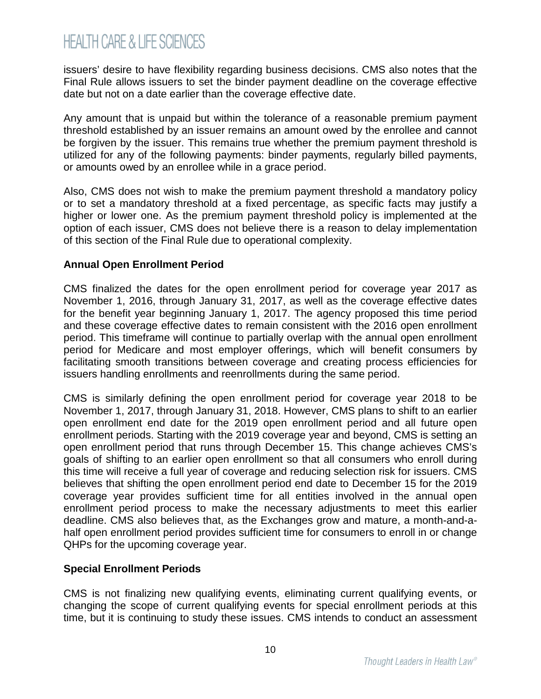issuers' desire to have flexibility regarding business decisions. CMS also notes that the Final Rule allows issuers to set the binder payment deadline on the coverage effective date but not on a date earlier than the coverage effective date.

Any amount that is unpaid but within the tolerance of a reasonable premium payment threshold established by an issuer remains an amount owed by the enrollee and cannot be forgiven by the issuer. This remains true whether the premium payment threshold is utilized for any of the following payments: binder payments, regularly billed payments, or amounts owed by an enrollee while in a grace period.

Also, CMS does not wish to make the premium payment threshold a mandatory policy or to set a mandatory threshold at a fixed percentage, as specific facts may justify a higher or lower one. As the premium payment threshold policy is implemented at the option of each issuer, CMS does not believe there is a reason to delay implementation of this section of the Final Rule due to operational complexity.

### **Annual Open Enrollment Period**

CMS finalized the dates for the open enrollment period for coverage year 2017 as November 1, 2016, through January 31, 2017, as well as the coverage effective dates for the benefit year beginning January 1, 2017. The agency proposed this time period and these coverage effective dates to remain consistent with the 2016 open enrollment period. This timeframe will continue to partially overlap with the annual open enrollment period for Medicare and most employer offerings, which will benefit consumers by facilitating smooth transitions between coverage and creating process efficiencies for issuers handling enrollments and reenrollments during the same period.

CMS is similarly defining the open enrollment period for coverage year 2018 to be November 1, 2017, through January 31, 2018. However, CMS plans to shift to an earlier open enrollment end date for the 2019 open enrollment period and all future open enrollment periods. Starting with the 2019 coverage year and beyond, CMS is setting an open enrollment period that runs through December 15. This change achieves CMS's goals of shifting to an earlier open enrollment so that all consumers who enroll during this time will receive a full year of coverage and reducing selection risk for issuers. CMS believes that shifting the open enrollment period end date to December 15 for the 2019 coverage year provides sufficient time for all entities involved in the annual open enrollment period process to make the necessary adjustments to meet this earlier deadline. CMS also believes that, as the Exchanges grow and mature, a month-and-ahalf open enrollment period provides sufficient time for consumers to enroll in or change QHPs for the upcoming coverage year.

#### **Special Enrollment Periods**

CMS is not finalizing new qualifying events, eliminating current qualifying events, or changing the scope of current qualifying events for special enrollment periods at this time, but it is continuing to study these issues. CMS intends to conduct an assessment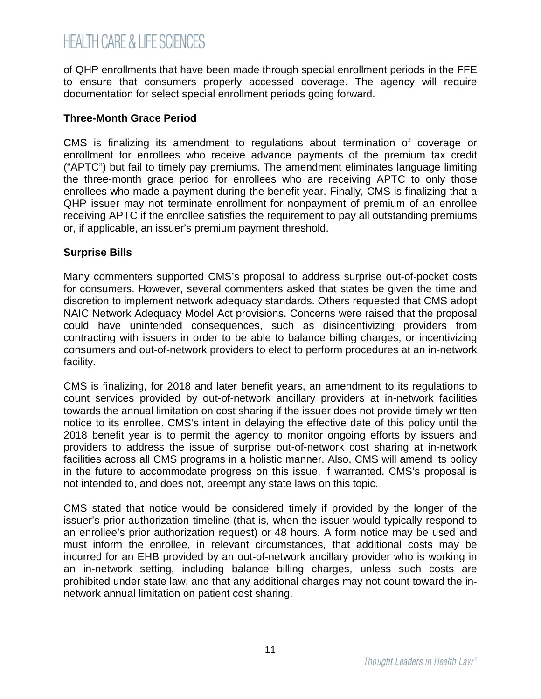of QHP enrollments that have been made through special enrollment periods in the FFE to ensure that consumers properly accessed coverage. The agency will require documentation for select special enrollment periods going forward.

#### **Three-Month Grace Period**

CMS is finalizing its amendment to regulations about termination of coverage or enrollment for enrollees who receive advance payments of the premium tax credit ("APTC") but fail to timely pay premiums. The amendment eliminates language limiting the three-month grace period for enrollees who are receiving APTC to only those enrollees who made a payment during the benefit year. Finally, CMS is finalizing that a QHP issuer may not terminate enrollment for nonpayment of premium of an enrollee receiving APTC if the enrollee satisfies the requirement to pay all outstanding premiums or, if applicable, an issuer's premium payment threshold.

#### **Surprise Bills**

Many commenters supported CMS's proposal to address surprise out-of-pocket costs for consumers. However, several commenters asked that states be given the time and discretion to implement network adequacy standards. Others requested that CMS adopt NAIC Network Adequacy Model Act provisions. Concerns were raised that the proposal could have unintended consequences, such as disincentivizing providers from contracting with issuers in order to be able to balance billing charges, or incentivizing consumers and out-of-network providers to elect to perform procedures at an in-network facility.

CMS is finalizing, for 2018 and later benefit years, an amendment to its regulations to count services provided by out-of-network ancillary providers at in-network facilities towards the annual limitation on cost sharing if the issuer does not provide timely written notice to its enrollee. CMS's intent in delaying the effective date of this policy until the 2018 benefit year is to permit the agency to monitor ongoing efforts by issuers and providers to address the issue of surprise out-of-network cost sharing at in-network facilities across all CMS programs in a holistic manner. Also, CMS will amend its policy in the future to accommodate progress on this issue, if warranted. CMS's proposal is not intended to, and does not, preempt any state laws on this topic.

CMS stated that notice would be considered timely if provided by the longer of the issuer's prior authorization timeline (that is, when the issuer would typically respond to an enrollee's prior authorization request) or 48 hours. A form notice may be used and must inform the enrollee, in relevant circumstances, that additional costs may be incurred for an EHB provided by an out-of-network ancillary provider who is working in an in-network setting, including balance billing charges, unless such costs are prohibited under state law, and that any additional charges may not count toward the innetwork annual limitation on patient cost sharing.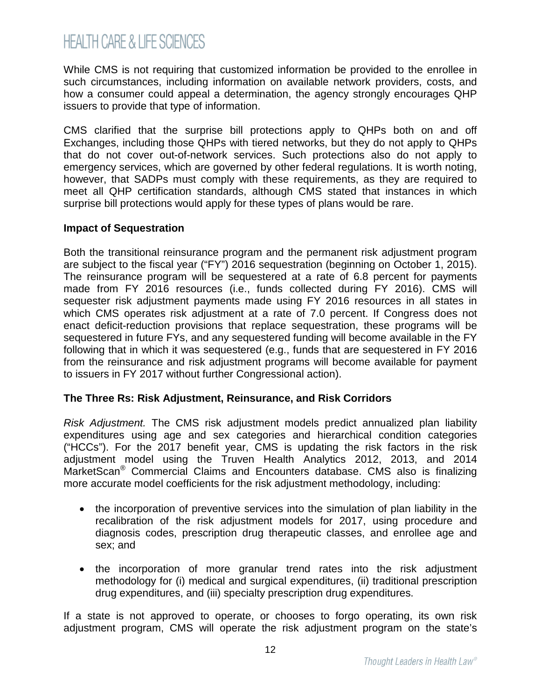While CMS is not requiring that customized information be provided to the enrollee in such circumstances, including information on available network providers, costs, and how a consumer could appeal a determination, the agency strongly encourages QHP issuers to provide that type of information.

CMS clarified that the surprise bill protections apply to QHPs both on and off Exchanges, including those QHPs with tiered networks, but they do not apply to QHPs that do not cover out-of-network services. Such protections also do not apply to emergency services, which are governed by other federal regulations. It is worth noting, however, that SADPs must comply with these requirements, as they are required to meet all QHP certification standards, although CMS stated that instances in which surprise bill protections would apply for these types of plans would be rare.

#### **Impact of Sequestration**

Both the transitional reinsurance program and the permanent risk adjustment program are subject to the fiscal year ("FY") 2016 sequestration (beginning on October 1, 2015). The reinsurance program will be sequestered at a rate of 6.8 percent for payments made from FY 2016 resources (i.e., funds collected during FY 2016). CMS will sequester risk adjustment payments made using FY 2016 resources in all states in which CMS operates risk adjustment at a rate of 7.0 percent. If Congress does not enact deficit-reduction provisions that replace sequestration, these programs will be sequestered in future FYs, and any sequestered funding will become available in the FY following that in which it was sequestered (e.g., funds that are sequestered in FY 2016 from the reinsurance and risk adjustment programs will become available for payment to issuers in FY 2017 without further Congressional action).

#### **The Three Rs: Risk Adjustment, Reinsurance, and Risk Corridors**

*Risk Adjustment.* The CMS risk adjustment models predict annualized plan liability expenditures using age and sex categories and hierarchical condition categories ("HCCs"). For the 2017 benefit year, CMS is updating the risk factors in the risk adjustment model using the Truven Health Analytics 2012, 2013, and 2014 MarketScan® Commercial Claims and Encounters database. CMS also is finalizing more accurate model coefficients for the risk adjustment methodology, including:

- the incorporation of preventive services into the simulation of plan liability in the recalibration of the risk adjustment models for 2017, using procedure and diagnosis codes, prescription drug therapeutic classes, and enrollee age and sex; and
- the incorporation of more granular trend rates into the risk adjustment methodology for (i) medical and surgical expenditures, (ii) traditional prescription drug expenditures, and (iii) specialty prescription drug expenditures.

If a state is not approved to operate, or chooses to forgo operating, its own risk adjustment program, CMS will operate the risk adjustment program on the state's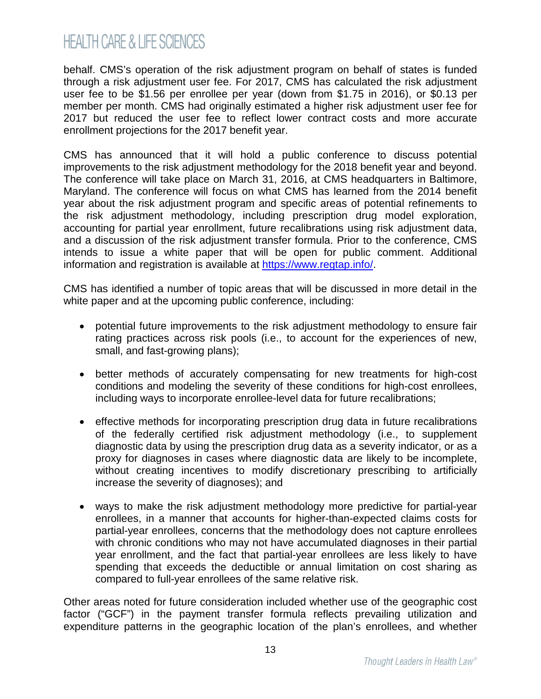behalf. CMS's operation of the risk adjustment program on behalf of states is funded through a risk adjustment user fee. For 2017, CMS has calculated the risk adjustment user fee to be \$1.56 per enrollee per year (down from \$1.75 in 2016), or \$0.13 per member per month. CMS had originally estimated a higher risk adjustment user fee for 2017 but reduced the user fee to reflect lower contract costs and more accurate enrollment projections for the 2017 benefit year.

CMS has announced that it will hold a public conference to discuss potential improvements to the risk adjustment methodology for the 2018 benefit year and beyond. The conference will take place on March 31, 2016, at CMS headquarters in Baltimore, Maryland. The conference will focus on what CMS has learned from the 2014 benefit year about the risk adjustment program and specific areas of potential refinements to the risk adjustment methodology, including prescription drug model exploration, accounting for partial year enrollment, future recalibrations using risk adjustment data, and a discussion of the risk adjustment transfer formula. Prior to the conference, CMS intends to issue a white paper that will be open for public comment. Additional information and registration is available at <https://www.regtap.info/>.

CMS has identified a number of topic areas that will be discussed in more detail in the white paper and at the upcoming public conference, including:

- potential future improvements to the risk adjustment methodology to ensure fair rating practices across risk pools (i.e., to account for the experiences of new, small, and fast-growing plans);
- better methods of accurately compensating for new treatments for high-cost conditions and modeling the severity of these conditions for high-cost enrollees, including ways to incorporate enrollee-level data for future recalibrations;
- effective methods for incorporating prescription drug data in future recalibrations of the federally certified risk adjustment methodology (i.e., to supplement diagnostic data by using the prescription drug data as a severity indicator, or as a proxy for diagnoses in cases where diagnostic data are likely to be incomplete, without creating incentives to modify discretionary prescribing to artificially increase the severity of diagnoses); and
- ways to make the risk adjustment methodology more predictive for partial-year enrollees, in a manner that accounts for higher-than-expected claims costs for partial-year enrollees, concerns that the methodology does not capture enrollees with chronic conditions who may not have accumulated diagnoses in their partial year enrollment, and the fact that partial-year enrollees are less likely to have spending that exceeds the deductible or annual limitation on cost sharing as compared to full-year enrollees of the same relative risk.

Other areas noted for future consideration included whether use of the geographic cost factor ("GCF") in the payment transfer formula reflects prevailing utilization and expenditure patterns in the geographic location of the plan's enrollees, and whether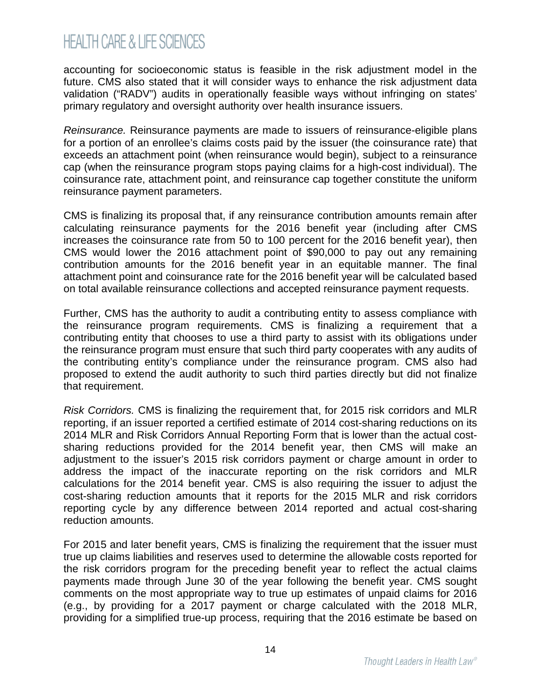accounting for socioeconomic status is feasible in the risk adjustment model in the future. CMS also stated that it will consider ways to enhance the risk adjustment data validation ("RADV") audits in operationally feasible ways without infringing on states' primary regulatory and oversight authority over health insurance issuers.

*Reinsurance.* Reinsurance payments are made to issuers of reinsurance-eligible plans for a portion of an enrollee's claims costs paid by the issuer (the coinsurance rate) that exceeds an attachment point (when reinsurance would begin), subject to a reinsurance cap (when the reinsurance program stops paying claims for a high-cost individual). The coinsurance rate, attachment point, and reinsurance cap together constitute the uniform reinsurance payment parameters.

CMS is finalizing its proposal that, if any reinsurance contribution amounts remain after calculating reinsurance payments for the 2016 benefit year (including after CMS increases the coinsurance rate from 50 to 100 percent for the 2016 benefit year), then CMS would lower the 2016 attachment point of \$90,000 to pay out any remaining contribution amounts for the 2016 benefit year in an equitable manner. The final attachment point and coinsurance rate for the 2016 benefit year will be calculated based on total available reinsurance collections and accepted reinsurance payment requests.

Further, CMS has the authority to audit a contributing entity to assess compliance with the reinsurance program requirements. CMS is finalizing a requirement that a contributing entity that chooses to use a third party to assist with its obligations under the reinsurance program must ensure that such third party cooperates with any audits of the contributing entity's compliance under the reinsurance program. CMS also had proposed to extend the audit authority to such third parties directly but did not finalize that requirement.

*Risk Corridors.* CMS is finalizing the requirement that, for 2015 risk corridors and MLR reporting, if an issuer reported a certified estimate of 2014 cost-sharing reductions on its 2014 MLR and Risk Corridors Annual Reporting Form that is lower than the actual costsharing reductions provided for the 2014 benefit year, then CMS will make an adjustment to the issuer's 2015 risk corridors payment or charge amount in order to address the impact of the inaccurate reporting on the risk corridors and MLR calculations for the 2014 benefit year. CMS is also requiring the issuer to adjust the cost-sharing reduction amounts that it reports for the 2015 MLR and risk corridors reporting cycle by any difference between 2014 reported and actual cost-sharing reduction amounts.

For 2015 and later benefit years, CMS is finalizing the requirement that the issuer must true up claims liabilities and reserves used to determine the allowable costs reported for the risk corridors program for the preceding benefit year to reflect the actual claims payments made through June 30 of the year following the benefit year. CMS sought comments on the most appropriate way to true up estimates of unpaid claims for 2016 (e.g., by providing for a 2017 payment or charge calculated with the 2018 MLR, providing for a simplified true-up process, requiring that the 2016 estimate be based on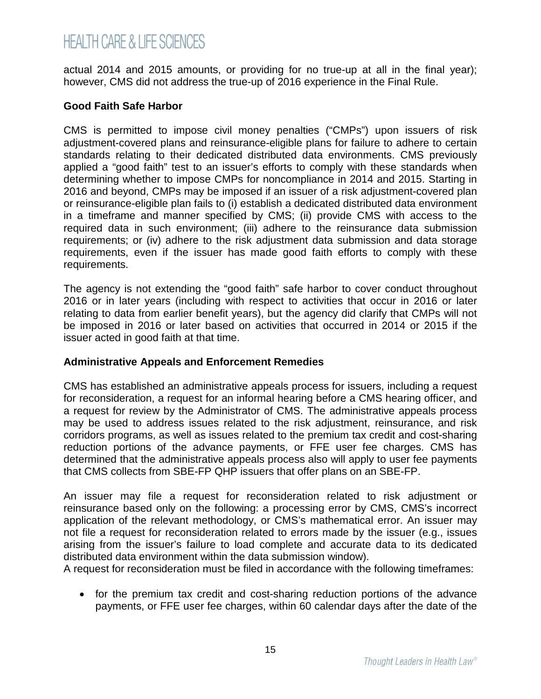actual 2014 and 2015 amounts, or providing for no true-up at all in the final year); however, CMS did not address the true-up of 2016 experience in the Final Rule.

#### **Good Faith Safe Harbor**

CMS is permitted to impose civil money penalties ("CMPs") upon issuers of risk adjustment-covered plans and reinsurance-eligible plans for failure to adhere to certain standards relating to their dedicated distributed data environments. CMS previously applied a "good faith" test to an issuer's efforts to comply with these standards when determining whether to impose CMPs for noncompliance in 2014 and 2015. Starting in 2016 and beyond, CMPs may be imposed if an issuer of a risk adjustment-covered plan or reinsurance-eligible plan fails to (i) establish a dedicated distributed data environment in a timeframe and manner specified by CMS; (ii) provide CMS with access to the required data in such environment; (iii) adhere to the reinsurance data submission requirements; or (iv) adhere to the risk adjustment data submission and data storage requirements, even if the issuer has made good faith efforts to comply with these requirements.

The agency is not extending the "good faith" safe harbor to cover conduct throughout 2016 or in later years (including with respect to activities that occur in 2016 or later relating to data from earlier benefit years), but the agency did clarify that CMPs will not be imposed in 2016 or later based on activities that occurred in 2014 or 2015 if the issuer acted in good faith at that time.

#### **Administrative Appeals and Enforcement Remedies**

CMS has established an administrative appeals process for issuers, including a request for reconsideration, a request for an informal hearing before a CMS hearing officer, and a request for review by the Administrator of CMS. The administrative appeals process may be used to address issues related to the risk adjustment, reinsurance, and risk corridors programs, as well as issues related to the premium tax credit and cost-sharing reduction portions of the advance payments, or FFE user fee charges. CMS has determined that the administrative appeals process also will apply to user fee payments that CMS collects from SBE-FP QHP issuers that offer plans on an SBE-FP.

An issuer may file a request for reconsideration related to risk adjustment or reinsurance based only on the following: a processing error by CMS, CMS's incorrect application of the relevant methodology, or CMS's mathematical error. An issuer may not file a request for reconsideration related to errors made by the issuer (e.g., issues arising from the issuer's failure to load complete and accurate data to its dedicated distributed data environment within the data submission window).

A request for reconsideration must be filed in accordance with the following timeframes:

• for the premium tax credit and cost-sharing reduction portions of the advance payments, or FFE user fee charges, within 60 calendar days after the date of the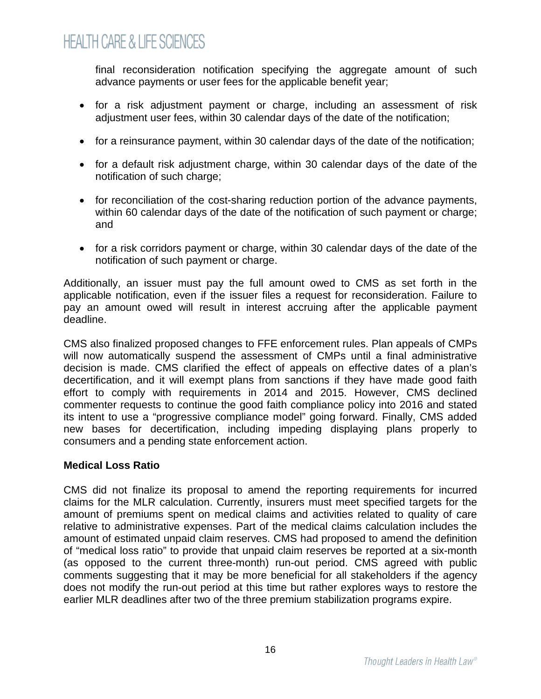final reconsideration notification specifying the aggregate amount of such advance payments or user fees for the applicable benefit year;

- for a risk adjustment payment or charge, including an assessment of risk adjustment user fees, within 30 calendar days of the date of the notification;
- for a reinsurance payment, within 30 calendar days of the date of the notification;
- for a default risk adjustment charge, within 30 calendar days of the date of the notification of such charge;
- for reconciliation of the cost-sharing reduction portion of the advance payments, within 60 calendar days of the date of the notification of such payment or charge; and
- for a risk corridors payment or charge, within 30 calendar days of the date of the notification of such payment or charge.

Additionally, an issuer must pay the full amount owed to CMS as set forth in the applicable notification, even if the issuer files a request for reconsideration. Failure to pay an amount owed will result in interest accruing after the applicable payment deadline.

CMS also finalized proposed changes to FFE enforcement rules. Plan appeals of CMPs will now automatically suspend the assessment of CMPs until a final administrative decision is made. CMS clarified the effect of appeals on effective dates of a plan's decertification, and it will exempt plans from sanctions if they have made good faith effort to comply with requirements in 2014 and 2015. However, CMS declined commenter requests to continue the good faith compliance policy into 2016 and stated its intent to use a "progressive compliance model" going forward. Finally, CMS added new bases for decertification, including impeding displaying plans properly to consumers and a pending state enforcement action.

### **Medical Loss Ratio**

CMS did not finalize its proposal to amend the reporting requirements for incurred claims for the MLR calculation. Currently, insurers must meet specified targets for the amount of premiums spent on medical claims and activities related to quality of care relative to administrative expenses. Part of the medical claims calculation includes the amount of estimated unpaid claim reserves. CMS had proposed to amend the definition of "medical loss ratio" to provide that unpaid claim reserves be reported at a six-month (as opposed to the current three-month) run-out period. CMS agreed with public comments suggesting that it may be more beneficial for all stakeholders if the agency does not modify the run-out period at this time but rather explores ways to restore the earlier MLR deadlines after two of the three premium stabilization programs expire.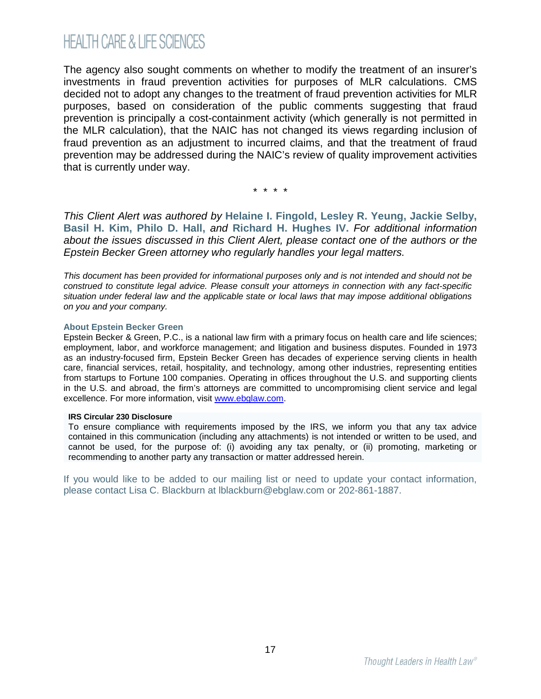The agency also sought comments on whether to modify the treatment of an insurer's investments in fraud prevention activities for purposes of MLR calculations. CMS decided not to adopt any changes to the treatment of fraud prevention activities for MLR purposes, based on consideration of the public comments suggesting that fraud prevention is principally a cost-containment activity (which generally is not permitted in the MLR calculation), that the NAIC has not changed its views regarding inclusion of fraud prevention as an adjustment to incurred claims, and that the treatment of fraud prevention may be addressed during the NAIC's review of quality improvement activities that is currently under way.

\* \* \* \*

*This Client Alert was authored by* **[Helaine I. Fingold,](http://www.ebglaw.com/helaine-i-fingold/) [Lesley R. Yeung,](http://www.ebglaw.com/lesley-r-yeung/) [Jackie Selby,](http://www.ebglaw.com/jackie-selby/) [Basil H. Kim](http://www.ebglaw.com/basil-h-kim/), [Philo D. Hall](http://www.ebglaw.com/philo-d-hall/),** *and* **[Richard H. Hughes IV.](http://www.ebglaw.com/richard-h-hughes-iv/)** *For additional information about the issues discussed in this Client Alert, please contact one of the authors or the Epstein Becker Green attorney who regularly handles your legal matters.*

*This document has been provided for informational purposes only and is not intended and should not be construed to constitute legal advice. Please consult your attorneys in connection with any fact-specific situation under federal law and the applicable state or local laws that may impose additional obligations on you and your company.*

#### **About Epstein Becker Green**

Epstein Becker & Green, P.C., is a national law firm with a primary focus on health care and life sciences; employment, labor, and workforce management; and litigation and business disputes. Founded in 1973 as an industry-focused firm, Epstein Becker Green has decades of experience serving clients in health care, financial services, retail, hospitality, and technology, among other industries, representing entities from startups to Fortune 100 companies. Operating in offices throughout the U.S. and supporting clients in the U.S. and abroad, the firm's attorneys are committed to uncompromising client service and legal excellence. For more information, visit [www.ebglaw.com](http://www.ebglaw.com/).

#### **IRS Circular 230 Disclosure**

To ensure compliance with requirements imposed by the IRS, we inform you that any tax advice contained in this communication (including any attachments) is not intended or written to be used, and cannot be used, for the purpose of: (i) avoiding any tax penalty, or (ii) promoting, marketing or recommending to another party any transaction or matter addressed herein.

If you would like to be added to our mailing list or need to update your contact information, please contact Lisa C. Blackburn at lblackburn@ebglaw.com or 202-861-1887.